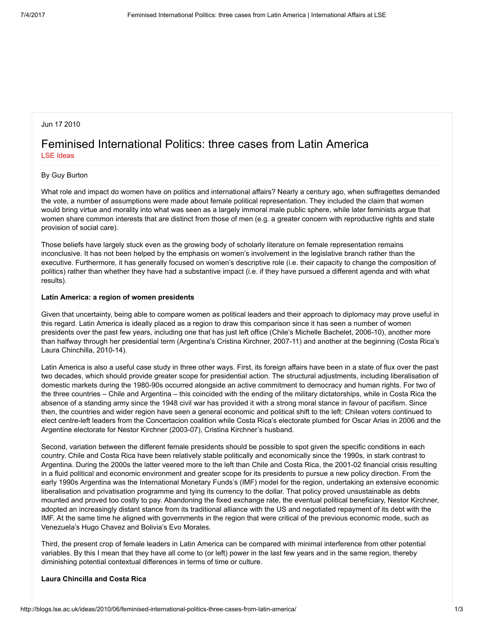# Jun 17 2010

# Feminised International Politics: three cases from Latin America LSE [Ideas](http://blogs.lse.ac.uk/ideas/author/kilari/)

### By Guy Burton

What role and impact do women have on politics and international affairs? Nearly a century ago, when suffragettes demanded the vote, a number of assumptions were made about female political representation. They included the claim that women would bring virtue and morality into what was seen as a largely immoral male public sphere, while later feminists argue that women share common interests that are distinct from those of men (e.g. a greater concern with reproductive rights and state provision of social care).

Those beliefs have largely stuck even as the growing body of scholarly literature on female representation remains inconclusive. It has not been helped by the emphasis on women's involvement in the legislative branch rather than the executive. Furthermore, it has generally focused on women's descriptive role (i.e. their capacity to change the composition of politics) rather than whether they have had a substantive impact (i.e. if they have pursued a different agenda and with what results).

#### Latin America: a region of women presidents

Given that uncertainty, being able to compare women as political leaders and their approach to diplomacy may prove useful in this regard. Latin America is ideally placed as a region to draw this comparison since it has seen a number of women presidents over the past few years, including one that has just left office (Chile's Michelle Bachelet, 2006-10), another more than halfway through her presidential term (Argentina's Cristina Kirchner, 2007-11) and another at the beginning (Costa Rica's Laura Chinchilla, 2010-14).

Latin America is also a useful case study in three other ways. First, its foreign affairs have been in a state of flux over the past two decades, which should provide greater scope for presidential action. The structural adjustments, including liberalisation of domestic markets during the 1980-90s occurred alongside an active commitment to democracy and human rights. For two of the three countries – Chile and Argentina – this coincided with the ending of the military dictatorships, while in Costa Rica the absence of a standing army since the 1948 civil war has provided it with a strong moral stance in favour of pacifism. Since then, the countries and wider region have seen a general economic and political shift to the left: Chilean voters continued to elect centre-left leaders from the Concertacion coalition while Costa Rica's electorate plumbed for Oscar Arias in 2006 and the Argentine electorate for Nestor Kirchner (2003-07), Cristina Kirchner's husband.

Second, variation between the different female presidents should be possible to spot given the specific conditions in each country. Chile and Costa Rica have been relatively stable politically and economically since the 1990s, in stark contrast to Argentina. During the 2000s the latter veered more to the left than Chile and Costa Rica, the 2001-02 financial crisis resulting in a fluid political and economic environment and greater scope for its presidents to pursue a new policy direction. From the early 1990s Argentina was the International Monetary Funds's (IMF) model for the region, undertaking an extensive economic liberalisation and privatisation programme and tying its currency to the dollar. That policy proved unsustainable as debts mounted and proved too costly to pay. Abandoning the fixed exchange rate, the eventual political beneficiary, Nestor Kirchner, adopted an increasingly distant stance from its traditional alliance with the US and negotiated repayment of its debt with the IMF. At the same time he aligned with governments in the region that were critical of the previous economic mode, such as Venezuela's Hugo Chavez and Bolivia's Evo Morales.

Third, the present crop of female leaders in Latin America can be compared with minimal interference from other potential variables. By this I mean that they have all come to (or left) power in the last few years and in the same region, thereby diminishing potential contextual differences in terms of time or culture.

## Laura Chincilla and Costa Rica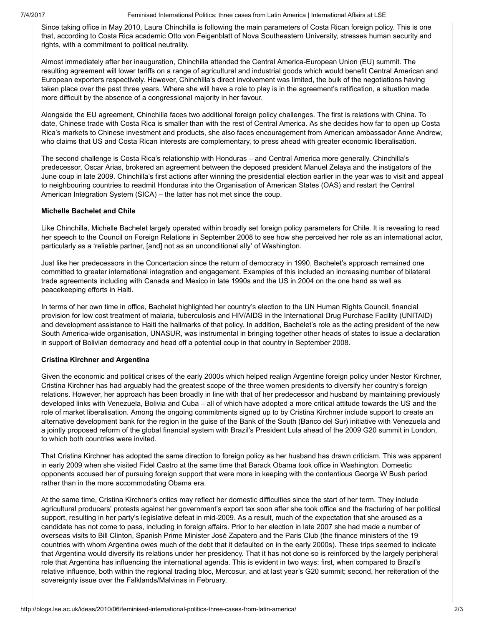7/4/2017 Feminised International Politics: three cases from Latin America | International Affairs at LSE

Since taking office in May 2010, Laura Chinchilla is following the main parameters of Costa Rican foreign policy. This is one that, according to Costa Rica academic Otto von Feigenblatt of Nova Southeastern University, stresses human security and rights, with a commitment to political neutrality.

Almost immediately after her inauguration, Chinchilla attended the Central America-European Union (EU) summit. The resulting agreement will lower tariffs on a range of agricultural and industrial goods which would benefit Central American and European exporters respectively. However, Chinchilla's direct involvement was limited, the bulk of the negotiations having taken place over the past three years. Where she will have a role to play is in the agreement's ratification, a situation made more difficult by the absence of a congressional majority in her favour.

Alongside the EU agreement, Chinchilla faces two additional foreign policy challenges. The first is relations with China. To date, Chinese trade with Costa Rica is smaller than with the rest of Central America. As she decides how far to open up Costa Rica's markets to Chinese investment and products, she also faces encouragement from American ambassador Anne Andrew, who claims that US and Costa Rican interests are complementary, to press ahead with greater economic liberalisation.

The second challenge is Costa Rica's relationship with Honduras – and Central America more generally. Chinchilla's predecessor, Oscar Arias, brokered an agreement between the deposed president Manuel Zelaya and the instigators of the June coup in late 2009. Chinchilla's first actions after winning the presidential election earlier in the year was to visit and appeal to neighbouring countries to readmit Honduras into the Organisation of American States (OAS) and restart the Central American Integration System (SICA) – the latter has not met since the coup.

## Michelle Bachelet and Chile

Like Chinchilla, Michelle Bachelet largely operated within broadly set foreign policy parameters for Chile. It is revealing to read her speech to the Council on Foreign Relations in September 2008 to see how she perceived her role as an international actor, particularly as a 'reliable partner, [and] not as an unconditional ally' of Washington.

Just like her predecessors in the Concertacion since the return of democracy in 1990, Bachelet's approach remained one committed to greater international integration and engagement. Examples of this included an increasing number of bilateral trade agreements including with Canada and Mexico in late 1990s and the US in 2004 on the one hand as well as peacekeeping efforts in Haiti.

In terms of her own time in office, Bachelet highlighted her country's election to the UN Human Rights Council, financial provision for low cost treatment of malaria, tuberculosis and HIV/AIDS in the International Drug Purchase Facility (UNITAID) and development assistance to Haiti the hallmarks of that policy. In addition, Bachelet's role as the acting president of the new South America-wide organisation, UNASUR, was instrumental in bringing together other heads of states to issue a declaration in support of Bolivian democracy and head off a potential coup in that country in September 2008.

# Cristina Kirchner and Argentina

Given the economic and political crises of the early 2000s which helped realign Argentine foreign policy under Nestor Kirchner, Cristina Kirchner has had arguably had the greatest scope of the three women presidents to diversify her country's foreign relations. However, her approach has been broadly in line with that of her predecessor and husband by maintaining previously developed links with Venezuela, Bolivia and Cuba – all of which have adopted a more critical attitude towards the US and the role of market liberalisation. Among the ongoing commitments signed up to by Cristina Kirchner include support to create an alternative development bank for the region in the guise of the Bank of the South (Banco del Sur) initiative with Venezuela and a jointly proposed reform of the global financial system with Brazil's President Lula ahead of the 2009 G20 summit in London, to which both countries were invited.

That Cristina Kirchner has adopted the same direction to foreign policy as her husband has drawn criticism. This was apparent in early 2009 when she visited Fidel Castro at the same time that Barack Obama took office in Washington. Domestic opponents accused her of pursuing foreign support that were more in keeping with the contentious George W Bush period rather than in the more accommodating Obama era.

At the same time, Cristina Kirchner's critics may reflect her domestic difficulties since the start of her term. They include agricultural producers' protests against her government's export tax soon after she took office and the fracturing of her political support, resulting in her party's legislative defeat in mid-2009. As a result, much of the expectation that she aroused as a candidate has not come to pass, including in foreign affairs. Prior to her election in late 2007 she had made a number of overseas visits to Bill Clinton, Spanish Prime Minister José Zapatero and the Paris Club (the finance ministers of the 19 countries with whom Argentina owes much of the debt that it defaulted on in the early 2000s). These trips seemed to indicate that Argentina would diversify its relations under her presidency. That it has not done so is reinforced by the largely peripheral role that Argentina has influencing the international agenda. This is evident in two ways: first, when compared to Brazil's relative influence, both within the regional trading bloc, Mercosur, and at last year's G20 summit; second, her reiteration of the sovereignty issue over the Falklands/Malvinas in February.